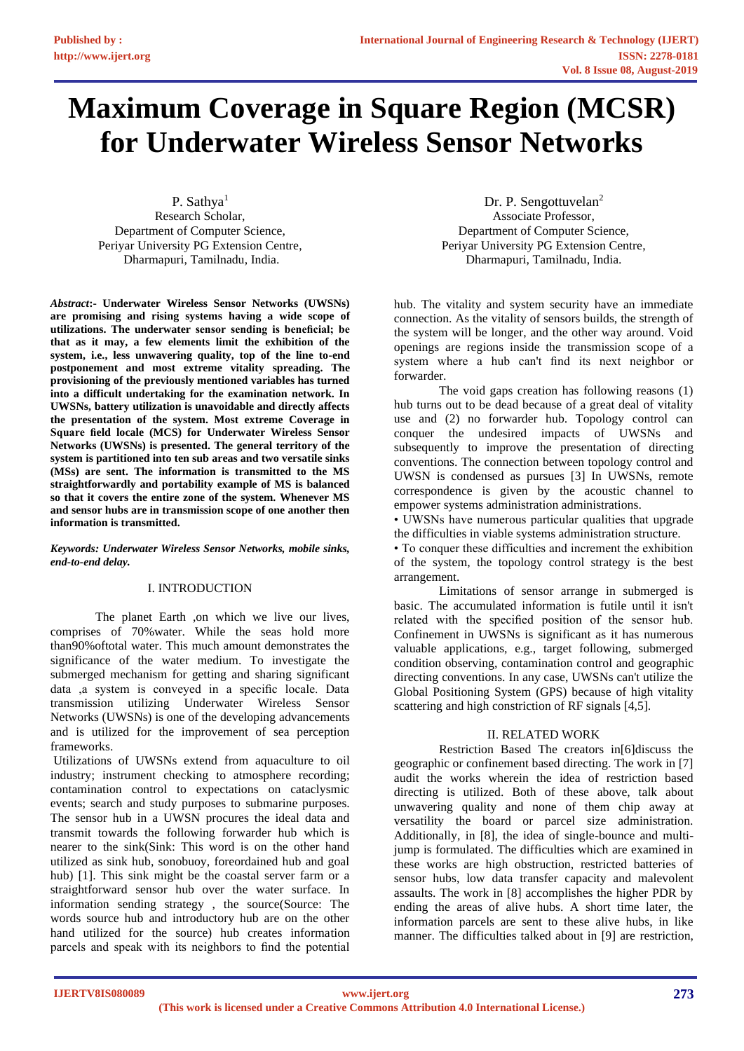# **Maximum Coverage in Square Region (MCSR) for Underwater Wireless Sensor Networks**

P. Sathya<sup>1</sup> Research Scholar, Department of Computer Science, Periyar University PG Extension Centre, Dharmapuri, Tamilnadu, India.

*Abstract***:- Underwater Wireless Sensor Networks (UWSNs) are promising and rising systems having a wide scope of utilizations. The underwater sensor sending is beneficial; be that as it may, a few elements limit the exhibition of the system, i.e., less unwavering quality, top of the line to-end postponement and most extreme vitality spreading. The provisioning of the previously mentioned variables has turned into a difficult undertaking for the examination network. In UWSNs, battery utilization is unavoidable and directly affects the presentation of the system. Most extreme Coverage in Square field locale (MCS) for Underwater Wireless Sensor Networks (UWSNs) is presented. The general territory of the system is partitioned into ten sub areas and two versatile sinks (MSs) are sent. The information is transmitted to the MS straightforwardly and portability example of MS is balanced so that it covers the entire zone of the system. Whenever MS and sensor hubs are in transmission scope of one another then information is transmitted.**

*Keywords: Underwater Wireless Sensor Networks, mobile sinks, end-to-end delay.*

## I. INTRODUCTION

The planet Earth ,on which we live our lives, comprises of 70%water. While the seas hold more than90%oftotal water. This much amount demonstrates the significance of the water medium. To investigate the submerged mechanism for getting and sharing significant data ,a system is conveyed in a specific locale. Data transmission utilizing Underwater Wireless Sensor Networks (UWSNs) is one of the developing advancements and is utilized for the improvement of sea perception frameworks.

Utilizations of UWSNs extend from aquaculture to oil industry; instrument checking to atmosphere recording; contamination control to expectations on cataclysmic events; search and study purposes to submarine purposes. The sensor hub in a UWSN procures the ideal data and transmit towards the following forwarder hub which is nearer to the sink(Sink: This word is on the other hand utilized as sink hub, sonobuoy, foreordained hub and goal hub) [1]. This sink might be the coastal server farm or a straightforward sensor hub over the water surface. In information sending strategy , the source(Source: The words source hub and introductory hub are on the other hand utilized for the source) hub creates information parcels and speak with its neighbors to find the potential

Dr. P. Sengottuvelan<sup>2</sup> Associate Professor, Department of Computer Science, Periyar University PG Extension Centre, Dharmapuri, Tamilnadu, India.

hub. The vitality and system security have an immediate connection. As the vitality of sensors builds, the strength of the system will be longer, and the other way around. Void openings are regions inside the transmission scope of a system where a hub can't find its next neighbor or forwarder.

The void gaps creation has following reasons (1) hub turns out to be dead because of a great deal of vitality use and (2) no forwarder hub. Topology control can conquer the undesired impacts of UWSNs and subsequently to improve the presentation of directing conventions. The connection between topology control and UWSN is condensed as pursues [3] In UWSNs, remote correspondence is given by the acoustic channel to empower systems administration administrations.

• UWSNs have numerous particular qualities that upgrade the difficulties in viable systems administration structure.

• To conquer these difficulties and increment the exhibition of the system, the topology control strategy is the best arrangement.

Limitations of sensor arrange in submerged is basic. The accumulated information is futile until it isn't related with the specified position of the sensor hub. Confinement in UWSNs is significant as it has numerous valuable applications, e.g., target following, submerged condition observing, contamination control and geographic directing conventions. In any case, UWSNs can't utilize the Global Positioning System (GPS) because of high vitality scattering and high constriction of RF signals [4,5].

## II. RELATED WORK

Restriction Based The creators in[6]discuss the geographic or confinement based directing. The work in [7] audit the works wherein the idea of restriction based directing is utilized. Both of these above, talk about unwavering quality and none of them chip away at versatility the board or parcel size administration. Additionally, in [8], the idea of single-bounce and multijump is formulated. The difficulties which are examined in these works are high obstruction, restricted batteries of sensor hubs, low data transfer capacity and malevolent assaults. The work in [8] accomplishes the higher PDR by ending the areas of alive hubs. A short time later, the information parcels are sent to these alive hubs, in like manner. The difficulties talked about in [9] are restriction,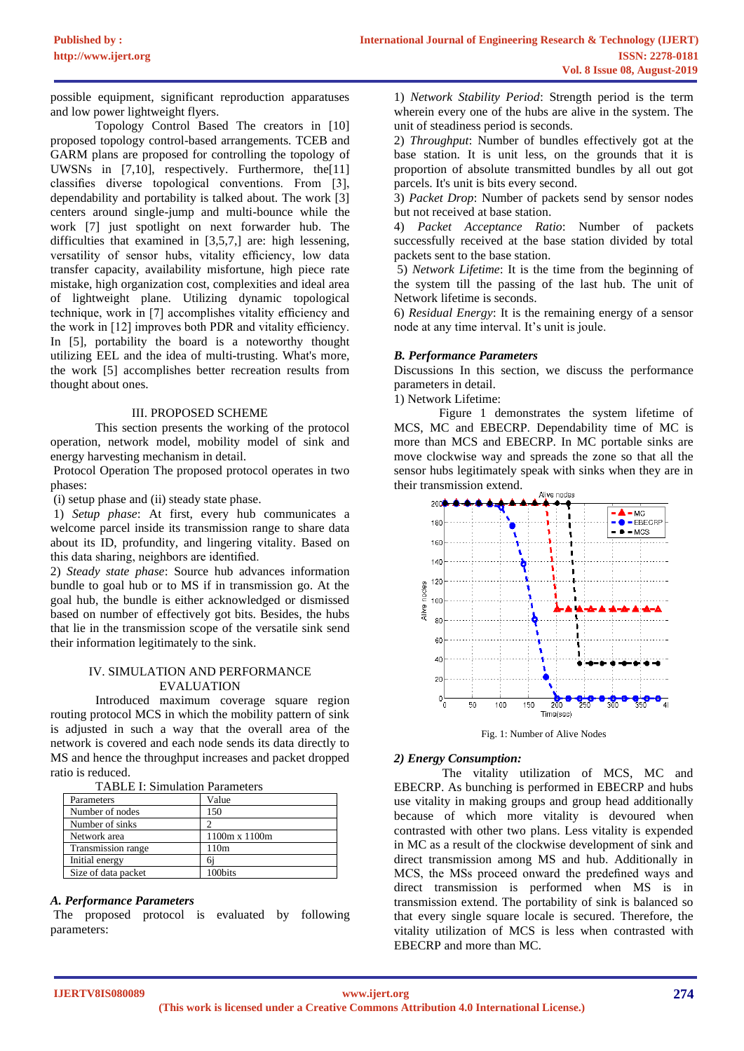possible equipment, significant reproduction apparatuses and low power lightweight flyers.

Topology Control Based The creators in [10] proposed topology control-based arrangements. TCEB and GARM plans are proposed for controlling the topology of UWSNs in [7,10], respectively. Furthermore, the[11] classifies diverse topological conventions. From [3], dependability and portability is talked about. The work [3] centers around single-jump and multi-bounce while the work [7] just spotlight on next forwarder hub. The difficulties that examined in [3,5,7,] are: high lessening, versatility of sensor hubs, vitality efficiency, low data transfer capacity, availability misfortune, high piece rate mistake, high organization cost, complexities and ideal area of lightweight plane. Utilizing dynamic topological technique, work in [7] accomplishes vitality efficiency and the work in [12] improves both PDR and vitality efficiency. In [5], portability the board is a noteworthy thought utilizing EEL and the idea of multi-trusting. What's more, the work [5] accomplishes better recreation results from thought about ones.

### III. PROPOSED SCHEME

This section presents the working of the protocol operation, network model, mobility model of sink and energy harvesting mechanism in detail.

Protocol Operation The proposed protocol operates in two phases:

(i) setup phase and (ii) steady state phase.

1) *Setup phase*: At first, every hub communicates a welcome parcel inside its transmission range to share data about its ID, profundity, and lingering vitality. Based on this data sharing, neighbors are identified.

2) *Steady state phase*: Source hub advances information bundle to goal hub or to MS if in transmission go. At the goal hub, the bundle is either acknowledged or dismissed based on number of effectively got bits. Besides, the hubs that lie in the transmission scope of the versatile sink send their information legitimately to the sink.

### IV. SIMULATION AND PERFORMANCE EVALUATION

Introduced maximum coverage square region routing protocol MCS in which the mobility pattern of sink is adjusted in such a way that the overall area of the network is covered and each node sends its data directly to MS and hence the throughput increases and packet dropped ratio is reduced.

| <b>TABLE I: Simulation Parameters</b> |  |  |
|---------------------------------------|--|--|
|---------------------------------------|--|--|

| 111000 1.011110101011 1 01011100010 |               |  |
|-------------------------------------|---------------|--|
| Parameters                          | Value         |  |
| Number of nodes                     | 150           |  |
| Number of sinks                     |               |  |
| Network area                        | 1100m x 1100m |  |
| Transmission range                  | 110m          |  |
| Initial energy                      | бi            |  |
| Size of data packet                 | 100bits       |  |

#### *A. Performance Parameters*

The proposed protocol is evaluated by following parameters:

1) *Network Stability Period*: Strength period is the term wherein every one of the hubs are alive in the system. The unit of steadiness period is seconds.

2) *Throughput*: Number of bundles effectively got at the base station. It is unit less, on the grounds that it is proportion of absolute transmitted bundles by all out got parcels. It's unit is bits every second.

3) *Packet Drop*: Number of packets send by sensor nodes but not received at base station.

4) *Packet Acceptance Ratio*: Number of packets successfully received at the base station divided by total packets sent to the base station.

5) *Network Lifetime*: It is the time from the beginning of the system till the passing of the last hub. The unit of Network lifetime is seconds.

6) *Residual Energy*: It is the remaining energy of a sensor node at any time interval. It's unit is joule.

### *B. Performance Parameters*

Discussions In this section, we discuss the performance parameters in detail.

1) Network Lifetime:

Figure 1 demonstrates the system lifetime of MCS, MC and EBECRP. Dependability time of MC is more than MCS and EBECRP. In MC portable sinks are move clockwise way and spreads the zone so that all the sensor hubs legitimately speak with sinks when they are in their transmission extend.



Fig. 1: Number of Alive Nodes

### *2) Energy Consumption:*

The vitality utilization of MCS, MC and EBECRP. As bunching is performed in EBECRP and hubs use vitality in making groups and group head additionally because of which more vitality is devoured when contrasted with other two plans. Less vitality is expended in MC as a result of the clockwise development of sink and direct transmission among MS and hub. Additionally in MCS, the MSs proceed onward the predefined ways and direct transmission is performed when MS is in transmission extend. The portability of sink is balanced so that every single square locale is secured. Therefore, the vitality utilization of MCS is less when contrasted with EBECRP and more than MC.